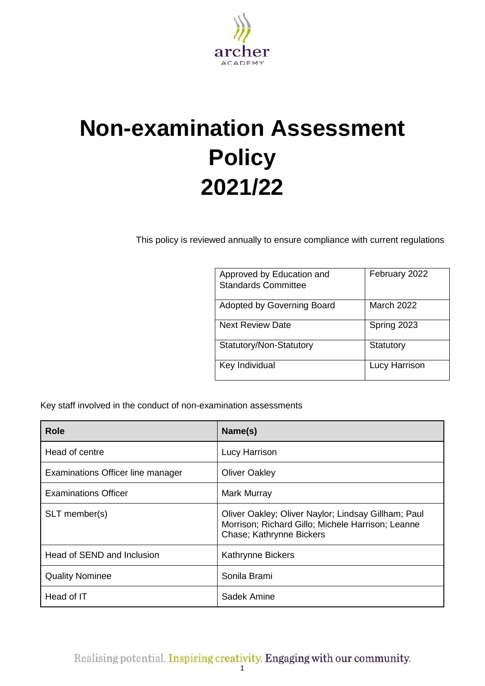

# **Non-examination Assessment Policy 2021/22**

This policy is reviewed annually to ensure compliance with current regulations

| Approved by Education and<br><b>Standards Committee</b> | February 2022 |
|---------------------------------------------------------|---------------|
| Adopted by Governing Board                              | March 2022    |
| <b>Next Review Date</b>                                 | Spring 2023   |
| Statutory/Non-Statutory                                 | Statutory     |
| Key Individual                                          | Lucy Harrison |

Key staff involved in the conduct of non-examination assessments

| <b>Role</b>                       | Name(s)                                                                                                                              |
|-----------------------------------|--------------------------------------------------------------------------------------------------------------------------------------|
| Head of centre                    | Lucy Harrison                                                                                                                        |
| Examinations Officer line manager | <b>Oliver Oakley</b>                                                                                                                 |
| <b>Examinations Officer</b>       | Mark Murray                                                                                                                          |
| SLT member(s)                     | Oliver Oakley; Oliver Naylor; Lindsay Gillham; Paul<br>Morrison; Richard Gillo; Michele Harrison; Leanne<br>Chase; Kathrynne Bickers |
| Head of SEND and Inclusion        | <b>Kathrynne Bickers</b>                                                                                                             |
| <b>Quality Nominee</b>            | Sonila Brami                                                                                                                         |
| Head of IT                        | Sadek Amine                                                                                                                          |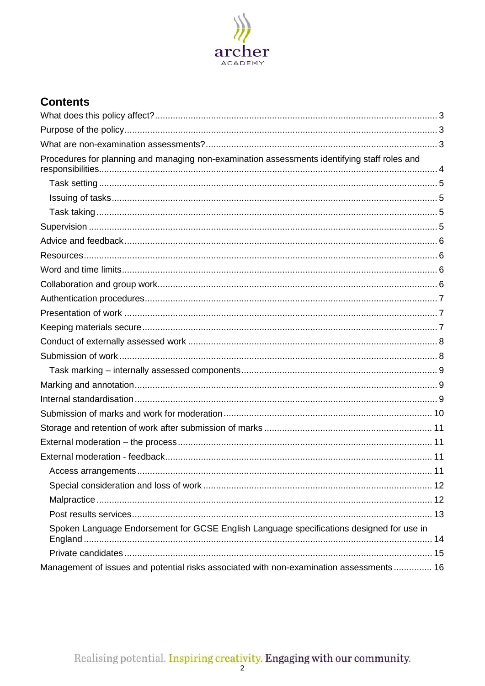

# **Contents**

| Procedures for planning and managing non-examination assessments identifying staff roles and |  |
|----------------------------------------------------------------------------------------------|--|
|                                                                                              |  |
|                                                                                              |  |
|                                                                                              |  |
|                                                                                              |  |
|                                                                                              |  |
|                                                                                              |  |
|                                                                                              |  |
|                                                                                              |  |
|                                                                                              |  |
|                                                                                              |  |
|                                                                                              |  |
|                                                                                              |  |
|                                                                                              |  |
|                                                                                              |  |
|                                                                                              |  |
|                                                                                              |  |
|                                                                                              |  |
|                                                                                              |  |
|                                                                                              |  |
|                                                                                              |  |
|                                                                                              |  |
|                                                                                              |  |
|                                                                                              |  |
|                                                                                              |  |
| Spoken Language Endorsement for GCSE English Language specifications designed for use in     |  |
|                                                                                              |  |
| Management of issues and potential risks associated with non-examination assessments 16      |  |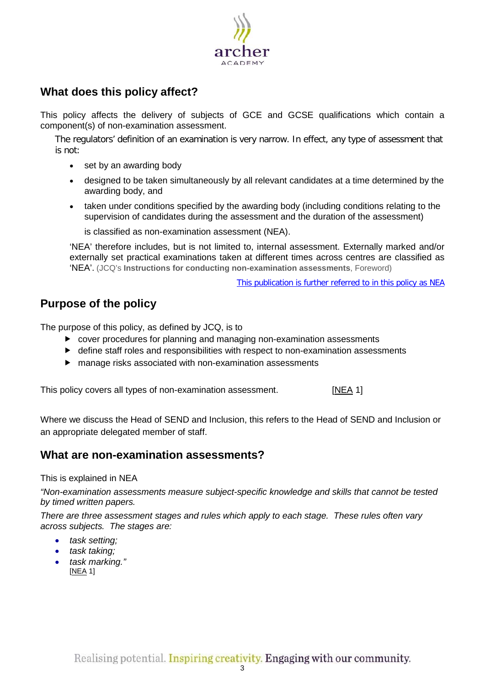

# <span id="page-2-0"></span>**What does this policy affect?**

This policy affects the delivery of subjects of GCE and GCSE qualifications which contain a component(s) of non-examination assessment.

The regulators' definition of an examination is very narrow. In effect, any type of assessment that is not:

- set by an awarding body
- designed to be taken simultaneously by all relevant candidates at a time determined by the awarding body, and
- taken under conditions specified by the awarding body (including conditions relating to the supervision of candidates during the assessment and the duration of the assessment)

is classified as non-examination assessment (NEA).

'NEA' therefore includes, but is not limited to, internal assessment. Externally marked and/or externally set practical examinations taken at different times across centres are classified as 'NEA'. (JCQ's **Instructions for conducting non-examination assessments**, Foreword)

This publication is further referred to in this policy as [NEA](http://www.jcq.org.uk/exams-office/non-examination-assessments)

# <span id="page-2-1"></span>**Purpose of the policy**

The purpose of this policy, as defined by JCQ, is to

- cover procedures for planning and managing non-examination assessments
- $\blacktriangleright$  define staff roles and responsibilities with respect to non-examination assessments
- manage risks associated with non-examination assessments

This policy covers all types of non-examination assessment.[\[NEA](http://www.jcq.org.uk/exams-office/non-examination-assessments) 1]

Where we discuss the Head of SEND and Inclusion, this refers to the Head of SEND and Inclusion or an appropriate delegated member of staff.

## <span id="page-2-2"></span>**What are non-examination assessments?**

This is explained in NEA

*"Non-examination assessments measure subject-specific knowledge and skills that cannot be tested by timed written papers.* 

*There are three assessment stages and rules which apply to each stage. These rules often vary across subjects. The stages are:* 

- *task setting;*
- *task taking;*
- *task marking."* [\[NEA](http://www.jcq.org.uk/exams-office/non-examination-assessments) 1]

Realising potential. Inspiring creativity. Engaging with our community.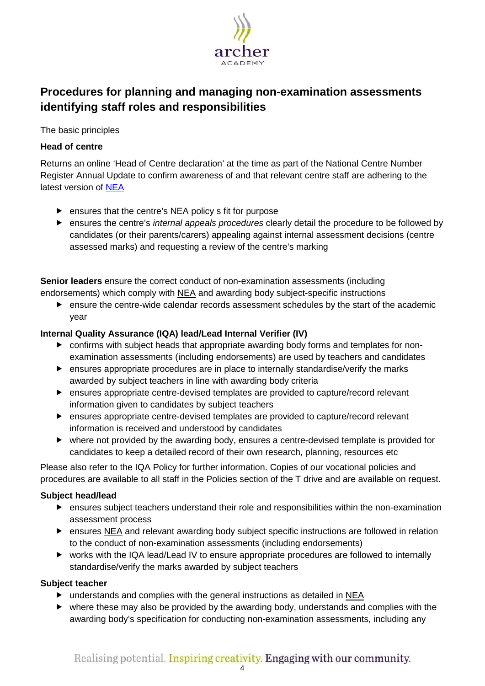

# <span id="page-3-0"></span>**Procedures for planning and managing non-examination assessments identifying staff roles and responsibilities**

The basic principles

## **Head of centre**

Returns an online 'Head of Centre declaration' at the time as part of the National Centre Number Register Annual Update to confirm awareness of and that relevant centre staff are adhering to the latest version of [NEA](http://www.jcq.org.uk/exams-office/non-examination-assessments)

- **EX EX ATTE:** ensures that the centre's NEA policy s fit for purpose
- ensures the centre's *internal appeals procedures* clearly detail the procedure to be followed by candidates (or their parents/carers) appealing against internal assessment decisions (centre assessed marks) and requesting a review of the centre's marking

**Senior leaders** ensure the correct conduct of non-examination assessments (including endorsements) which comply with [NEA](http://www.jcq.org.uk/exams-office/non-examination-assessments) and awarding body subject-specific instructions

 ensure the centre-wide calendar records assessment schedules by the start of the academic year

## **Internal Quality Assurance (IQA) lead/Lead Internal Verifier (IV)**

- confirms with subject heads that appropriate awarding body forms and templates for nonexamination assessments (including endorsements) are used by teachers and candidates
- ensures appropriate procedures are in place to internally standardise/verify the marks awarded by subject teachers in line with awarding body criteria
- ensures appropriate centre-devised templates are provided to capture/record relevant information given to candidates by subject teachers
- ensures appropriate centre-devised templates are provided to capture/record relevant information is received and understood by candidates
- where not provided by the awarding body, ensures a centre-devised template is provided for candidates to keep a detailed record of their own research, planning, resources etc

Please also refer to the IQA Policy for further information. Copies of our vocational policies and procedures are available to all staff in the Policies section of the T drive and are available on request.

## **Subject head/lead**

- ensures subject teachers understand their role and responsibilities within the non-examination assessment process
- ensures [NEA](http://www.jcq.org.uk/exams-office/non-examination-assessments) and relevant awarding body subject specific instructions are followed in relation to the conduct of non-examination assessments (including endorsements)
- works with the IQA lead/Lead IV to ensure appropriate procedures are followed to internally standardise/verify the marks awarded by subject teachers

- understands and complies with the general instructions as detailed in [NEA](http://www.jcq.org.uk/exams-office/non-examination-assessments)
- where these may also be provided by the awarding body, understands and complies with the awarding body's specification for conducting non-examination assessments, including any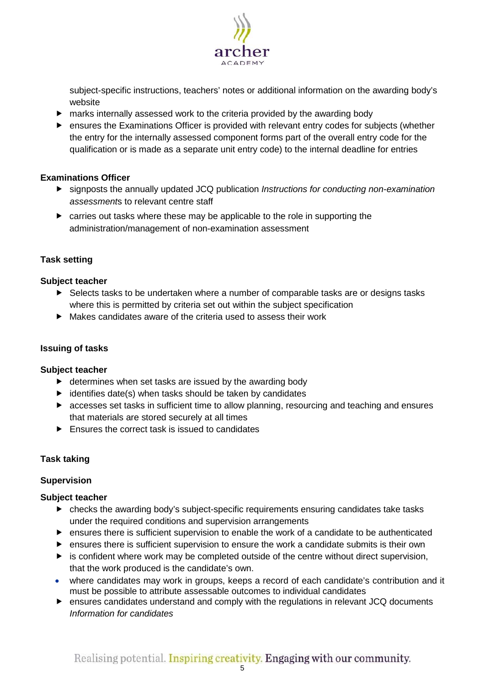

subject-specific instructions, teachers' notes or additional information on the awarding body's website

- marks internally assessed work to the criteria provided by the awarding body
- ensures the Examinations Officer is provided with relevant entry codes for subjects (whether the entry for the internally assessed component forms part of the overall entry code for the qualification or is made as a separate unit entry code) to the internal deadline for entries

## **Examinations Officer**

- signposts the annually updated JCQ publication *Instructions for conducting non-examination assessment*s to relevant centre staff
- ▶ carries out tasks where these may be applicable to the role in supporting the administration/management of non-examination assessment

## <span id="page-4-0"></span>**Task setting**

## **Subject teacher**

- ▶ Selects tasks to be undertaken where a number of comparable tasks are or designs tasks where this is permitted by criteria set out within the subject specification
- Makes candidates aware of the criteria used to assess their work

## <span id="page-4-1"></span>**Issuing of tasks**

## **Subject teacher**

- $\blacktriangleright$  determines when set tasks are issued by the awarding body
- $\blacktriangleright$  identifies date(s) when tasks should be taken by candidates
- accesses set tasks in sufficient time to allow planning, resourcing and teaching and ensures that materials are stored securely at all times
- $\blacktriangleright$  Ensures the correct task is issued to candidates

## <span id="page-4-2"></span>**Task taking**

## <span id="page-4-3"></span>**Supervision**

- checks the awarding body's subject-specific requirements ensuring candidates take tasks under the required conditions and supervision arrangements
- ensures there is sufficient supervision to enable the work of a candidate to be authenticated
- ensures there is sufficient supervision to ensure the work a candidate submits is their own
- $\blacktriangleright$  is confident where work may be completed outside of the centre without direct supervision, that the work produced is the candidate's own.
- where candidates may work in groups, keeps a record of each candidate's contribution and it must be possible to attribute assessable outcomes to individual candidates
- ensures candidates understand and comply with the regulations in relevant JCQ documents *Information for candidates*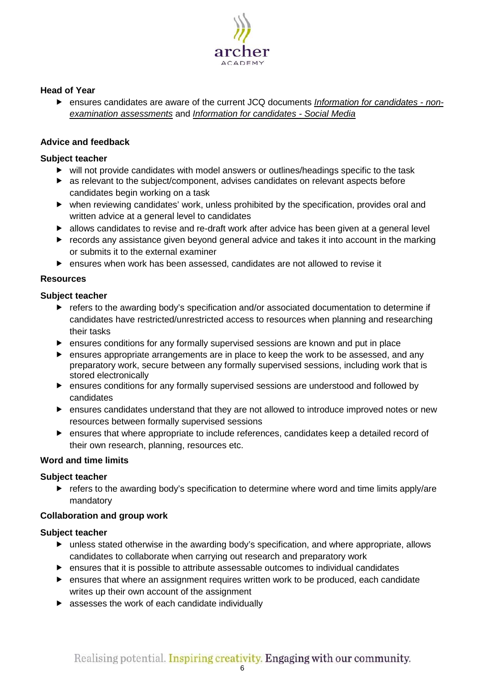

## **Head of Year**

 ensures candidates are aware of the current JCQ documents *[Information for candidates -](http://www.jcq.org.uk/exams-office/information-for-candidates-documents) non[examination assessments](http://www.jcq.org.uk/exams-office/information-for-candidates-documents)* and *[Information for candidates -](http://www.jcq.org.uk/exams-office/information-for-candidates-documents) Social Media*

## <span id="page-5-0"></span>**Advice and feedback**

## **Subject teacher**

- will not provide candidates with model answers or outlines/headings specific to the task
- as relevant to the subject/component, advises candidates on relevant aspects before candidates begin working on a task
- when reviewing candidates' work, unless prohibited by the specification, provides oral and written advice at a general level to candidates
- allows candidates to revise and re-draft work after advice has been given at a general level
- records any assistance given beyond general advice and takes it into account in the marking or submits it to the external examiner
- ensures when work has been assessed, candidates are not allowed to revise it

## <span id="page-5-1"></span>**Resources**

## **Subject teacher**

- refers to the awarding body's specification and/or associated documentation to determine if candidates have restricted/unrestricted access to resources when planning and researching their tasks
- ensures conditions for any formally supervised sessions are known and put in place
- ensures appropriate arrangements are in place to keep the work to be assessed, and any preparatory work, secure between any formally supervised sessions, including work that is stored electronically
- ensures conditions for any formally supervised sessions are understood and followed by candidates
- ensures candidates understand that they are not allowed to introduce improved notes or new resources between formally supervised sessions
- ensures that where appropriate to include references, candidates keep a detailed record of their own research, planning, resources etc.

## <span id="page-5-2"></span>**Word and time limits**

## **Subject teacher**

 $\blacktriangleright$  refers to the awarding body's specification to determine where word and time limits apply/are mandatory

## <span id="page-5-3"></span>**Collaboration and group work**

- unless stated otherwise in the awarding body's specification, and where appropriate, allows candidates to collaborate when carrying out research and preparatory work
- $\blacktriangleright$  ensures that it is possible to attribute assessable outcomes to individual candidates
- ensures that where an assignment requires written work to be produced, each candidate writes up their own account of the assignment
- **EXECUTE:** assesses the work of each candidate individually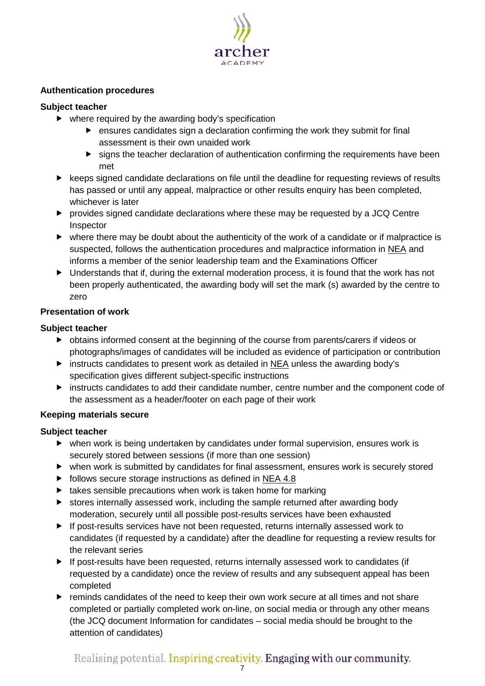

## <span id="page-6-0"></span>**Authentication procedures**

## **Subject teacher**

- $\blacktriangleright$  where required by the awarding body's specification
	- ensures candidates sign a declaration confirming the work they submit for final assessment is their own unaided work
	- $\blacktriangleright$  signs the teacher declaration of authentication confirming the requirements have been met
- $\blacktriangleright$  keeps signed candidate declarations on file until the deadline for requesting reviews of results has passed or until any appeal, malpractice or other results enquiry has been completed, whichever is later
- provides signed candidate declarations where these may be requested by a JCQ Centre Inspector
- $\triangleright$  where there may be doubt about the authenticity of the work of a candidate or if malpractice is suspected, follows the authentication procedures and malpractice information in [NEA](http://www.jcq.org.uk/exams-office/non-examination-assessments) and informs a member of the senior leadership team and the Examinations Officer
- $\blacktriangleright$  Understands that if, during the external moderation process, it is found that the work has not been properly authenticated, the awarding body will set the mark (s) awarded by the centre to zero

## <span id="page-6-1"></span>**Presentation of work**

## **Subject teacher**

- obtains informed consent at the beginning of the course from parents/carers if videos or photographs/images of candidates will be included as evidence of participation or contribution
- $\triangleright$  instructs candidates to present work as detailed in [NEA](http://www.jcq.org.uk/exams-office/non-examination-assessments) unless the awarding body's specification gives different subject-specific instructions
- instructs candidates to add their candidate number, centre number and the component code of the assessment as a header/footer on each page of their work

## <span id="page-6-2"></span>**Keeping materials secure**

- when work is being undertaken by candidates under formal supervision, ensures work is securely stored between sessions (if more than one session)
- when work is submitted by candidates for final assessment, ensures work is securely stored
- $\triangleright$  follows secure storage instructions as defined in [NEA](http://www.jcq.org.uk/exams-office/non-examination-assessments) 4.8
- $\blacktriangleright$  takes sensible precautions when work is taken home for marking
- $\triangleright$  stores internally assessed work, including the sample returned after awarding body moderation, securely until all possible post-results services have been exhausted
- $\blacktriangleright$  If post-results services have not been requested, returns internally assessed work to candidates (if requested by a candidate) after the deadline for requesting a review results for the relevant series
- If post-results have been requested, returns internally assessed work to candidates (if requested by a candidate) once the review of results and any subsequent appeal has been completed
- **F** reminds candidates of the need to keep their own work secure at all times and not share completed or partially completed work on-line, on social media or through any other means (the JCQ document Information for candidates – social media should be brought to the attention of candidates)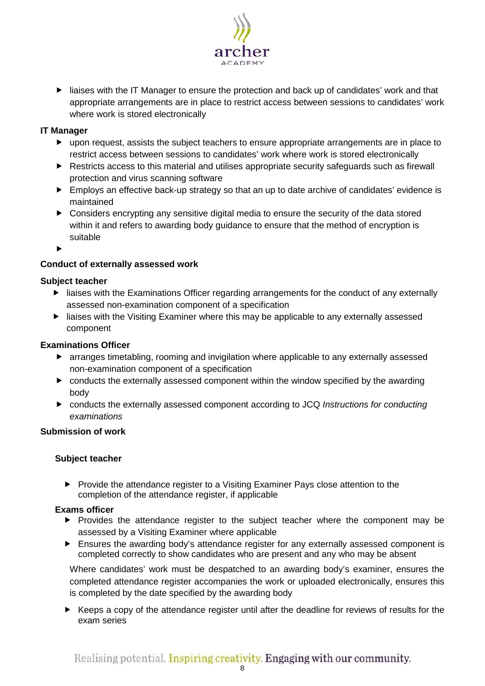

 liaises with the IT Manager to ensure the protection and back up of candidates' work and that appropriate arrangements are in place to restrict access between sessions to candidates' work where work is stored electronically

## **IT Manager**

- upon request, assists the subject teachers to ensure appropriate arrangements are in place to restrict access between sessions to candidates' work where work is stored electronically
- ▶ Restricts access to this material and utilises appropriate security safeguards such as firewall protection and virus scanning software
- **Employs an effective back-up strategy so that an up to date archive of candidates' evidence is** maintained
- Considers encrypting any sensitive digital media to ensure the security of the data stored within it and refers to awarding body guidance to ensure that the method of encryption is suitable

 $\blacktriangleright$ 

## <span id="page-7-0"></span>**Conduct of externally assessed work**

## **Subject teacher**

- **EXAM** liaises with the Examinations Officer regarding arrangements for the conduct of any externally assessed non-examination component of a specification
- **EXT** liaises with the Visiting Examiner where this may be applicable to any externally assessed component

## **Examinations Officer**

- arranges timetabling, rooming and invigilation where applicable to any externally assessed non-examination component of a specification
- conducts the externally assessed component within the window specified by the awarding body
- conducts the externally assessed component according to JCQ *Instructions for conducting examinations*

## <span id="page-7-1"></span>**Submission of work**

## **Subject teacher**

▶ Provide the attendance register to a Visiting Examiner Pays close attention to the completion of the attendance register, if applicable

## **Exams officer**

- Provides the attendance register to the subject teacher where the component may be assessed by a Visiting Examiner where applicable
- Ensures the awarding body's attendance register for any externally assessed component is completed correctly to show candidates who are present and any who may be absent

Where candidates' work must be despatched to an awarding body's examiner, ensures the completed attendance register accompanies the work or uploaded electronically, ensures this is completed by the date specified by the awarding body

 Keeps a copy of the attendance register until after the deadline for reviews of results for the exam series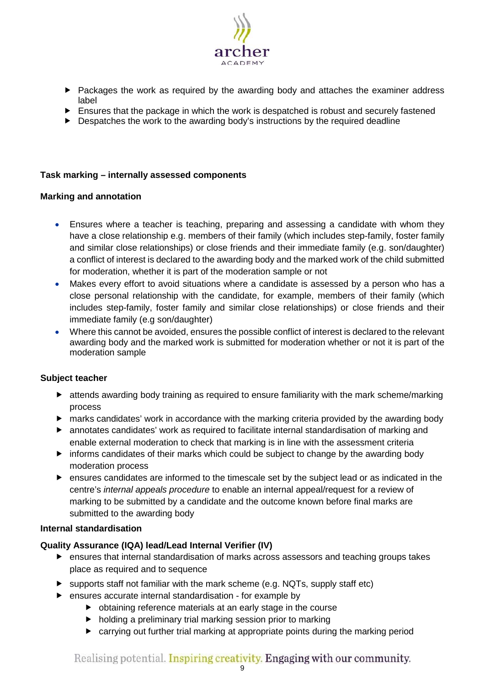

- ▶ Packages the work as required by the awarding body and attaches the examiner address label
- Ensures that the package in which the work is despatched is robust and securely fastened
- $\blacktriangleright$  Despatches the work to the awarding body's instructions by the required deadline

## <span id="page-8-0"></span>**Task marking – internally assessed components**

## <span id="page-8-1"></span>**Marking and annotation**

- Ensures where a teacher is teaching, preparing and assessing a candidate with whom they have a close relationship e.g. members of their family (which includes step-family, foster family and similar close relationships) or close friends and their immediate family (e.g. son/daughter) a conflict of interest is declared to the awarding body and the marked work of the child submitted for moderation, whether it is part of the moderation sample or not
- Makes every effort to avoid situations where a candidate is assessed by a person who has a close personal relationship with the candidate, for example, members of their family (which includes step-family, foster family and similar close relationships) or close friends and their immediate family (e.g son/daughter)
- Where this cannot be avoided, ensures the possible conflict of interest is declared to the relevant awarding body and the marked work is submitted for moderation whether or not it is part of the moderation sample

## **Subject teacher**

- attends awarding body training as required to ensure familiarity with the mark scheme/marking process
- marks candidates' work in accordance with the marking criteria provided by the awarding body
- annotates candidates' work as required to facilitate internal standardisation of marking and enable external moderation to check that marking is in line with the assessment criteria
- $\blacktriangleright$  informs candidates of their marks which could be subject to change by the awarding body moderation process
- ensures candidates are informed to the timescale set by the subject lead or as indicated in the centre's *internal appeals procedure* to enable an internal appeal/request for a review of marking to be submitted by a candidate and the outcome known before final marks are submitted to the awarding body

## <span id="page-8-2"></span>**Internal standardisation**

## **Quality Assurance (IQA) lead/Lead Internal Verifier (IV)**

- ensures that internal standardisation of marks across assessors and teaching groups takes place as required and to sequence
- $\triangleright$  supports staff not familiar with the mark scheme (e.g. NQTs, supply staff etc)
- ensures accurate internal standardisation for example by
	- obtaining reference materials at an early stage in the course
	- $\blacktriangleright$  holding a preliminary trial marking session prior to marking
	- carrying out further trial marking at appropriate points during the marking period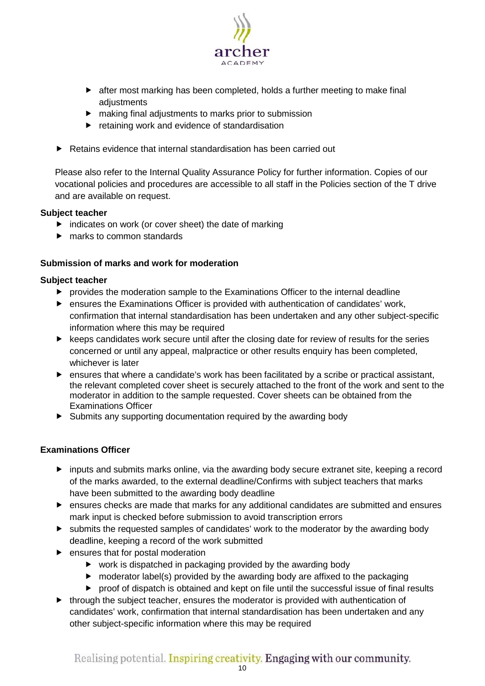

- after most marking has been completed, holds a further meeting to make final adjustments
- making final adjustments to marks prior to submission
- **F** retaining work and evidence of standardisation
- ▶ Retains evidence that internal standardisation has been carried out

Please also refer to the Internal Quality Assurance Policy for further information. Copies of our vocational policies and procedures are accessible to all staff in the Policies section of the T drive and are available on request.

## **Subject teacher**

- $\blacktriangleright$  indicates on work (or cover sheet) the date of marking
- **F** marks to common standards

## <span id="page-9-0"></span>**Submission of marks and work for moderation**

## **Subject teacher**

- provides the moderation sample to the Examinations Officer to the internal deadline
- ensures the Examinations Officer is provided with authentication of candidates' work, confirmation that internal standardisation has been undertaken and any other subject-specific information where this may be required
- $\blacktriangleright$  keeps candidates work secure until after the closing date for review of results for the series concerned or until any appeal, malpractice or other results enquiry has been completed, whichever is later
- ensures that where a candidate's work has been facilitated by a scribe or practical assistant, the relevant completed cover sheet is securely attached to the front of the work and sent to the moderator in addition to the sample requested. Cover sheets can be obtained from the Examinations Officer
- Submits any supporting documentation required by the awarding body

## **Examinations Officer**

- inputs and submits marks online, via the awarding body secure extranet site, keeping a record of the marks awarded, to the external deadline/Confirms with subject teachers that marks have been submitted to the awarding body deadline
- ensures checks are made that marks for any additional candidates are submitted and ensures mark input is checked before submission to avoid transcription errors
- submits the requested samples of candidates' work to the moderator by the awarding body deadline, keeping a record of the work submitted
- $\blacktriangleright$  ensures that for postal moderation
	- ► work is dispatched in packaging provided by the awarding body
	- $\triangleright$  moderator label(s) provided by the awarding body are affixed to the packaging
	- proof of dispatch is obtained and kept on file until the successful issue of final results
- $\blacktriangleright$  through the subject teacher, ensures the moderator is provided with authentication of candidates' work, confirmation that internal standardisation has been undertaken and any other subject-specific information where this may be required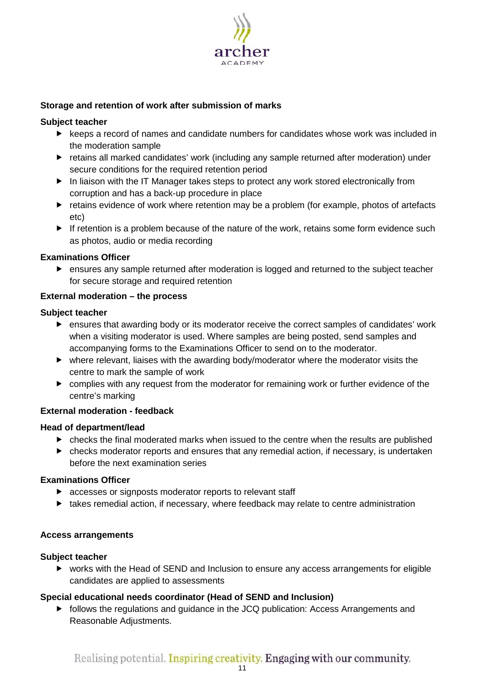

## <span id="page-10-0"></span>**Storage and retention of work after submission of marks**

## **Subject teacher**

- $\blacktriangleright$  keeps a record of names and candidate numbers for candidates whose work was included in the moderation sample
- retains all marked candidates' work (including any sample returned after moderation) under secure conditions for the required retention period
- In liaison with the IT Manager takes steps to protect any work stored electronically from corruption and has a back-up procedure in place
- retains evidence of work where retention may be a problem (for example, photos of artefacts etc)
- $\blacktriangleright$  If retention is a problem because of the nature of the work, retains some form evidence such as photos, audio or media recording

#### **Examinations Officer**

 ensures any sample returned after moderation is logged and returned to the subject teacher for secure storage and required retention

#### <span id="page-10-1"></span>**External moderation – the process**

#### **Subject teacher**

- ensures that awarding body or its moderator receive the correct samples of candidates' work when a visiting moderator is used. Where samples are being posted, send samples and accompanying forms to the Examinations Officer to send on to the moderator.
- where relevant, liaises with the awarding body/moderator where the moderator visits the centre to mark the sample of work
- complies with any request from the moderator for remaining work or further evidence of the centre's marking

## <span id="page-10-2"></span>**External moderation - feedback**

#### **Head of department/lead**

- $\triangleright$  checks the final moderated marks when issued to the centre when the results are published
- checks moderator reports and ensures that any remedial action, if necessary, is undertaken before the next examination series

## **Examinations Officer**

- **EX accesses or signposts moderator reports to relevant staff**
- $\blacktriangleright$  takes remedial action, if necessary, where feedback may relate to centre administration

## <span id="page-10-3"></span>**Access arrangements**

## **Subject teacher**

 works with the Head of SEND and Inclusion to ensure any access arrangements for eligible candidates are applied to assessments

## **Special educational needs coordinator (Head of SEND and Inclusion)**

**Fig. 1** follows the regulations and guidance in the JCQ publication: Access Arrangements and Reasonable Adjustments.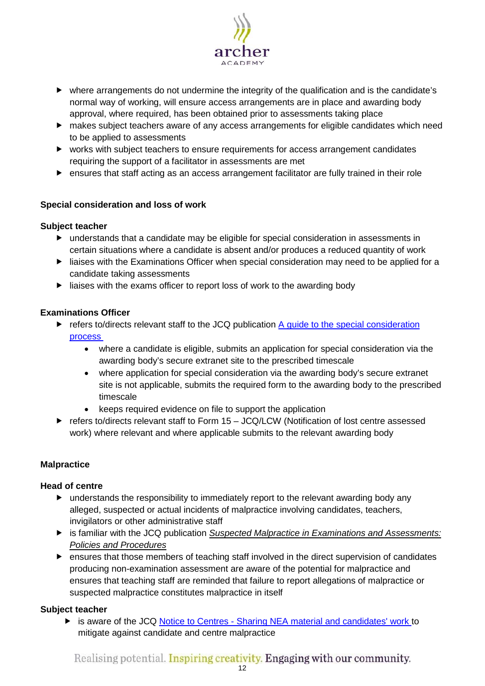

- where arrangements do not undermine the integrity of the qualification and is the candidate's normal way of working, will ensure access arrangements are in place and awarding body approval, where required, has been obtained prior to assessments taking place
- makes subject teachers aware of any access arrangements for eligible candidates which need to be applied to assessments
- works with subject teachers to ensure requirements for access arrangement candidates requiring the support of a facilitator in assessments are met
- ensures that staff acting as an access arrangement facilitator are fully trained in their role

## <span id="page-11-0"></span>**Special consideration and loss of work**

## **Subject teacher**

- understands that a candidate may be eligible for special consideration in assessments in certain situations where a candidate is absent and/or produces a reduced quantity of work
- liaises with the Examinations Officer when special consideration may need to be applied for a candidate taking assessments
- liaises with the exams officer to report loss of work to the awarding body

## **Examinations Officer**

- $\triangleright$  refers to/directs relevant staff to the JCQ publication A guide to the special consideration [process](http://www.jcq.org.uk/exams-office/access-arrangements-and-special-consideration) 
	- where a candidate is eligible, submits an application for special consideration via the awarding body's secure extranet site to the prescribed timescale
	- where application for special consideration via the awarding body's secure extranet site is not applicable, submits the required form to the awarding body to the prescribed timescale
	- keeps required evidence on file to support the application
- refers to/directs relevant staff to Form  $15 JCQ/LCW$  (Notification of lost centre assessed work) where relevant and where applicable submits to the relevant awarding body

## <span id="page-11-1"></span>**Malpractice**

## **Head of centre**

- understands the responsibility to immediately report to the relevant awarding body any alleged, suspected or actual incidents of malpractice involving candidates, teachers, invigilators or other administrative staff
- is familiar with the JCQ publication *[Suspected Malpractice in Examinations and Assessments:](http://www.jcq.org.uk/exams-office/malpractice)  [Policies and Procedures](http://www.jcq.org.uk/exams-office/malpractice)*
- ensures that those members of teaching staff involved in the direct supervision of candidates producing non-examination assessment are aware of the potential for malpractice and ensures that teaching staff are reminded that failure to report allegations of malpractice or suspected malpractice constitutes malpractice in itself

## **Subject teacher**

▶ is aware of the JCQ Notice to Centres - [Sharing NEA material and candidates' work](http://www.jcq.org.uk/exams-office/non-examination-assessments) to mitigate against candidate and centre malpractice

Realising potential. Inspiring creativity. Engaging with our community.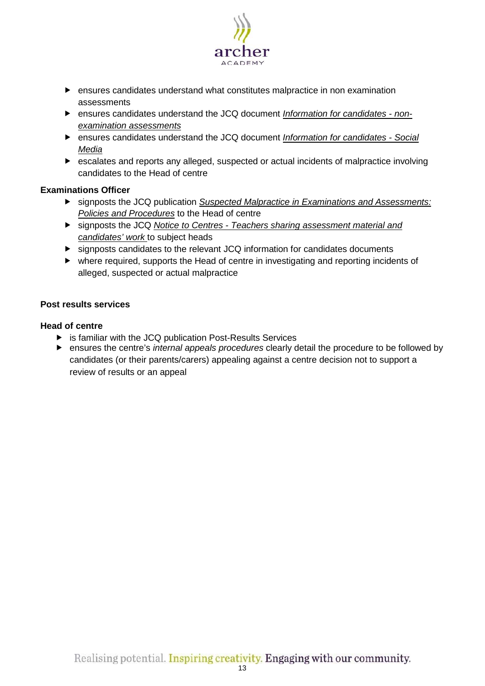

- ensures candidates understand what constitutes malpractice in non examination assessments
- ensures candidates understand the JCQ document *[Information for candidates -](http://www.jcq.org.uk/exams-office/information-for-candidates-documents) non[examination assessments](http://www.jcq.org.uk/exams-office/information-for-candidates-documents)*
- ensures candidates understand the JCQ document *[Information for candidates -](http://www.jcq.org.uk/exams-office/information-for-candidates-documents) Social [Media](http://www.jcq.org.uk/exams-office/information-for-candidates-documents)*
- escalates and reports any alleged, suspected or actual incidents of malpractice involving candidates to the Head of centre

## **Examinations Officer**

- signposts the JCQ publication *[Suspected Malpractice in Examinations and Assessments:](http://www.jcq.org.uk/exams-office/malpractice)  [Policies and Procedures](http://www.jcq.org.uk/exams-office/malpractice)* to the Head of centre
- signposts the JCQ *Notice to Centres - [Teachers sharing assessment material and](http://www.jcq.org.uk/exams-office/non-examination-assessments)  [candidates' work](http://www.jcq.org.uk/exams-office/non-examination-assessments)* to subject heads
- signposts candidates to the relevant JCQ information for candidates documents
- where required, supports the Head of centre in investigating and reporting incidents of alleged, suspected or actual malpractice

## <span id="page-12-0"></span>**Post results services**

## **Head of centre**

- ▶ is familiar with the JCQ publication Post-Results Services
- ensures the centre's *internal appeals procedures* clearly detail the procedure to be followed by candidates (or their parents/carers) appealing against a centre decision not to support a review of results or an appeal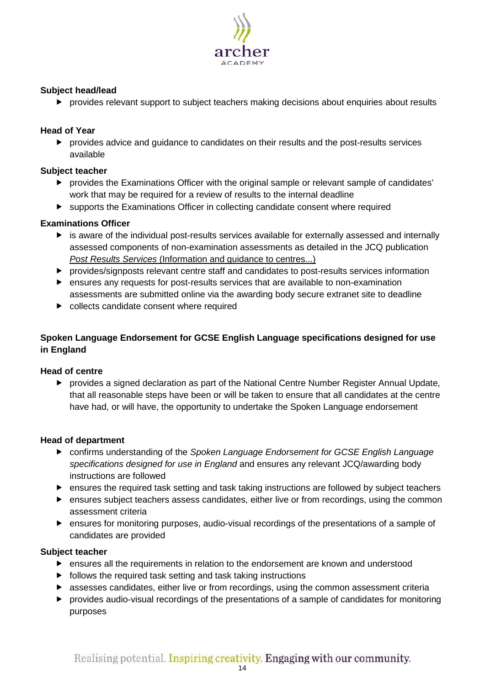

## **Subject head/lead**

provides relevant support to subject teachers making decisions about enquiries about results

## **Head of Year**

 provides advice and guidance to candidates on their results and the post-results services available

## **Subject teacher**

- provides the Examinations Officer with the original sample or relevant sample of candidates' work that may be required for a review of results to the internal deadline
- supports the Examinations Officer in collecting candidate consent where required

## **Examinations Officer**

- is aware of the individual post-results services available for externally assessed and internally assessed components of non-examination assessments as detailed in the JCQ publication *Post Results Services* [\(Information and guidance to centres...\)](http://www.jcq.org.uk/exams-office/post-results-services)
- provides/signposts relevant centre staff and candidates to post-results services information
- ensures any requests for post-results services that are available to non-examination assessments are submitted online via the awarding body secure extranet site to deadline
- $\triangleright$  collects candidate consent where required

## <span id="page-13-0"></span>**Spoken Language Endorsement for GCSE English Language specifications designed for use in England**

## **Head of centre**

 provides a signed declaration as part of the National Centre Number Register Annual Update, that all reasonable steps have been or will be taken to ensure that all candidates at the centre have had, or will have, the opportunity to undertake the Spoken Language endorsement

## **Head of department**

- confirms understanding of the *Spoken Language Endorsement for GCSE English Language specifications designed for use in England* and ensures any relevant JCQ/awarding body instructions are followed
- ensures the required task setting and task taking instructions are followed by subject teachers
- ensures subject teachers assess candidates, either live or from recordings, using the common assessment criteria
- ensures for monitoring purposes, audio-visual recordings of the presentations of a sample of candidates are provided

- ensures all the requirements in relation to the endorsement are known and understood
- $\blacktriangleright$  follows the required task setting and task taking instructions
- assesses candidates, either live or from recordings, using the common assessment criteria
- provides audio-visual recordings of the presentations of a sample of candidates for monitoring purposes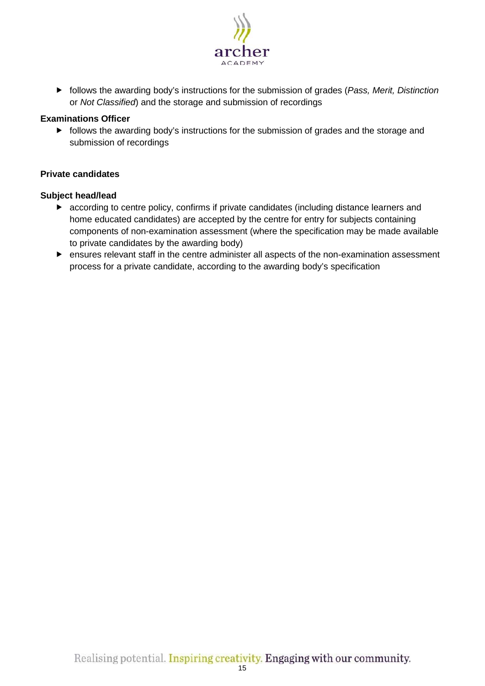

 follows the awarding body's instructions for the submission of grades (*Pass, Merit, Distinction* or *Not Classified*) and the storage and submission of recordings

## **Examinations Officer**

**Fi** follows the awarding body's instructions for the submission of grades and the storage and submission of recordings

## <span id="page-14-0"></span>**Private candidates**

## **Subject head/lead**

- according to centre policy, confirms if private candidates (including distance learners and home educated candidates) are accepted by the centre for entry for subjects containing components of non-examination assessment (where the specification may be made available to private candidates by the awarding body)
- ensures relevant staff in the centre administer all aspects of the non-examination assessment process for a private candidate, according to the awarding body's specification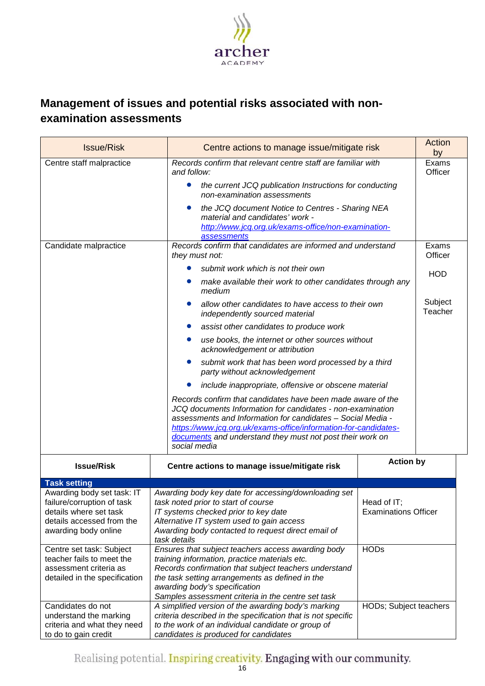

# <span id="page-15-0"></span>**Management of issues and potential risks associated with nonexamination assessments**

| <b>Issue/Risk</b>                                                                                                                       | Centre actions to manage issue/mitigate risk                                                                                                                                                                                                                                                                                             |                                                  |                    |
|-----------------------------------------------------------------------------------------------------------------------------------------|------------------------------------------------------------------------------------------------------------------------------------------------------------------------------------------------------------------------------------------------------------------------------------------------------------------------------------------|--------------------------------------------------|--------------------|
| Centre staff malpractice                                                                                                                | Records confirm that relevant centre staff are familiar with<br>and follow:                                                                                                                                                                                                                                                              | by<br>Exams<br>Officer                           |                    |
|                                                                                                                                         | the current JCQ publication Instructions for conducting<br>$\bullet$<br>non-examination assessments                                                                                                                                                                                                                                      |                                                  |                    |
|                                                                                                                                         | the JCQ document Notice to Centres - Sharing NEA<br>0<br>material and candidates' work -<br>http://www.jcq.org.uk/exams-office/non-examination-<br><b>assessments</b>                                                                                                                                                                    |                                                  |                    |
| Candidate malpractice                                                                                                                   | Records confirm that candidates are informed and understand<br>they must not:                                                                                                                                                                                                                                                            |                                                  | Exams<br>Officer   |
|                                                                                                                                         | submit work which is not their own                                                                                                                                                                                                                                                                                                       |                                                  |                    |
|                                                                                                                                         | make available their work to other candidates through any<br>medium                                                                                                                                                                                                                                                                      |                                                  | <b>HOD</b>         |
|                                                                                                                                         | allow other candidates to have access to their own<br>independently sourced material                                                                                                                                                                                                                                                     |                                                  | Subject<br>Teacher |
|                                                                                                                                         | assist other candidates to produce work                                                                                                                                                                                                                                                                                                  |                                                  |                    |
|                                                                                                                                         | acknowledgement or attribution                                                                                                                                                                                                                                                                                                           | use books, the internet or other sources without |                    |
|                                                                                                                                         | submit work that has been word processed by a third<br>party without acknowledgement                                                                                                                                                                                                                                                     |                                                  |                    |
|                                                                                                                                         | include inappropriate, offensive or obscene material                                                                                                                                                                                                                                                                                     |                                                  |                    |
|                                                                                                                                         | Records confirm that candidates have been made aware of the<br>JCQ documents Information for candidates - non-examination<br>assessments and Information for candidates - Social Media -<br>https://www.jcq.org.uk/exams-office/information-for-candidates-<br>documents and understand they must not post their work on<br>social media |                                                  |                    |
| <b>Issue/Risk</b>                                                                                                                       | Centre actions to manage issue/mitigate risk                                                                                                                                                                                                                                                                                             | <b>Action by</b>                                 |                    |
| <b>Task setting</b>                                                                                                                     |                                                                                                                                                                                                                                                                                                                                          |                                                  |                    |
| Awarding body set task: IT<br>failure/corruption of task<br>details where set task<br>details accessed from the<br>awarding body online | Awarding body key date for accessing/downloading set<br>task noted prior to start of course<br>IT systems checked prior to key date<br>Alternative IT system used to gain access<br>Awarding body contacted to request direct email of<br>task details                                                                                   | Head of IT;<br><b>Examinations Officer</b>       |                    |
| Centre set task: Subject<br>teacher fails to meet the<br>assessment criteria as<br>detailed in the specification                        | Ensures that subject teachers access awarding body<br>training information, practice materials etc.<br>Records confirmation that subject teachers understand<br>the task setting arrangements as defined in the<br>awarding body's specification<br>Samples assessment criteria in the centre set task                                   | <b>HODs</b>                                      |                    |
| Candidates do not<br>understand the marking<br>criteria and what they need<br>to do to gain credit                                      | A simplified version of the awarding body's marking<br>criteria described in the specification that is not specific<br>to the work of an individual candidate or group of<br>candidates is produced for candidates                                                                                                                       | HODs; Subject teachers                           |                    |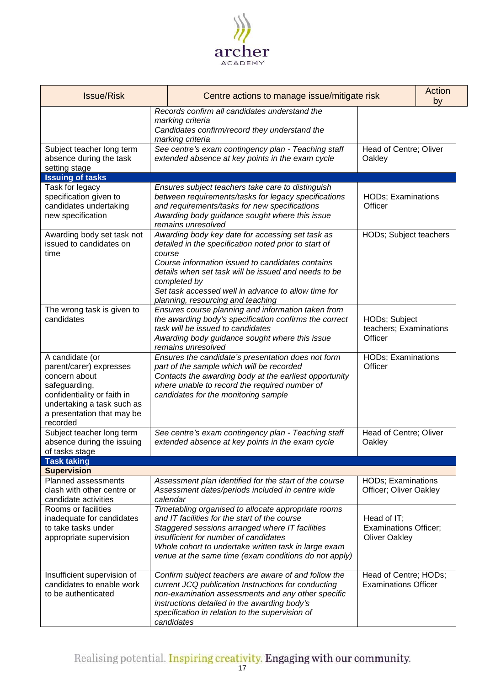

| <b>Issue/Risk</b><br>Centre actions to manage issue/mitigate risk                                                                                                                   |                                                                                                                   | Action<br>by                                                                                                                                                                                                                                                                                                                      |                                                                     |  |
|-------------------------------------------------------------------------------------------------------------------------------------------------------------------------------------|-------------------------------------------------------------------------------------------------------------------|-----------------------------------------------------------------------------------------------------------------------------------------------------------------------------------------------------------------------------------------------------------------------------------------------------------------------------------|---------------------------------------------------------------------|--|
|                                                                                                                                                                                     |                                                                                                                   | Records confirm all candidates understand the<br>marking criteria<br>Candidates confirm/record they understand the<br>marking criteria                                                                                                                                                                                            |                                                                     |  |
| Subject teacher long term<br>absence during the task<br>setting stage                                                                                                               | See centre's exam contingency plan - Teaching staff<br>extended absence at key points in the exam cycle<br>Oakley |                                                                                                                                                                                                                                                                                                                                   | Head of Centre; Oliver                                              |  |
| <b>Issuing of tasks</b>                                                                                                                                                             |                                                                                                                   |                                                                                                                                                                                                                                                                                                                                   |                                                                     |  |
| Task for legacy<br>specification given to<br>candidates undertaking<br>new specification                                                                                            |                                                                                                                   | Ensures subject teachers take care to distinguish<br>between requirements/tasks for legacy specifications<br>and requirements/tasks for new specifications<br>Awarding body guidance sought where this issue<br>remains unresolved                                                                                                | <b>HODs; Examinations</b><br>Officer                                |  |
| Awarding body set task not<br>issued to candidates on<br>time                                                                                                                       | course                                                                                                            | Awarding body key date for accessing set task as<br>detailed in the specification noted prior to start of<br>Course information issued to candidates contains<br>details when set task will be issued and needs to be<br>completed by<br>Set task accessed well in advance to allow time for<br>planning, resourcing and teaching | HODs; Subject teachers                                              |  |
| The wrong task is given to<br>candidates                                                                                                                                            |                                                                                                                   | Ensures course planning and information taken from<br>the awarding body's specification confirms the correct<br>task will be issued to candidates<br>Awarding body guidance sought where this issue<br>remains unresolved                                                                                                         | HODs; Subject<br>teachers; Examinations<br>Officer                  |  |
| A candidate (or<br>parent/carer) expresses<br>concern about<br>safeguarding,<br>confidentiality or faith in<br>undertaking a task such as<br>a presentation that may be<br>recorded |                                                                                                                   | Ensures the candidate's presentation does not form<br>part of the sample which will be recorded<br>Contacts the awarding body at the earliest opportunity<br>where unable to record the required number of<br>candidates for the monitoring sample                                                                                | <b>HODs; Examinations</b><br>Officer                                |  |
| Subject teacher long term<br>absence during the issuing<br>of tasks stage                                                                                                           |                                                                                                                   | See centre's exam contingency plan - Teaching staff<br>extended absence at key points in the exam cycle                                                                                                                                                                                                                           | Head of Centre; Oliver<br>Oakley                                    |  |
| <b>Task taking</b>                                                                                                                                                                  |                                                                                                                   |                                                                                                                                                                                                                                                                                                                                   |                                                                     |  |
| <b>Supervision</b>                                                                                                                                                                  |                                                                                                                   |                                                                                                                                                                                                                                                                                                                                   |                                                                     |  |
| <b>Planned assessments</b><br>clash with other centre or<br>candidate activities                                                                                                    |                                                                                                                   | Assessment plan identified for the start of the course<br>Assessment dates/periods included in centre wide<br>calendar                                                                                                                                                                                                            | <b>HODs</b> ; Examinations<br>Officer; Oliver Oakley                |  |
| Rooms or facilities<br>inadequate for candidates<br>to take tasks under<br>appropriate supervision                                                                                  |                                                                                                                   | Timetabling organised to allocate appropriate rooms<br>and IT facilities for the start of the course<br>Staggered sessions arranged where IT facilities<br>insufficient for number of candidates<br>Whole cohort to undertake written task in large exam<br>venue at the same time (exam conditions do not apply)                 | Head of IT;<br><b>Examinations Officer;</b><br><b>Oliver Oakley</b> |  |
| Insufficient supervision of<br>candidates to enable work<br>to be authenticated                                                                                                     |                                                                                                                   | Confirm subject teachers are aware of and follow the<br>current JCQ publication Instructions for conducting<br>non-examination assessments and any other specific<br>instructions detailed in the awarding body's<br>specification in relation to the supervision of<br>candidates                                                | Head of Centre; HODs;<br><b>Examinations Officer</b>                |  |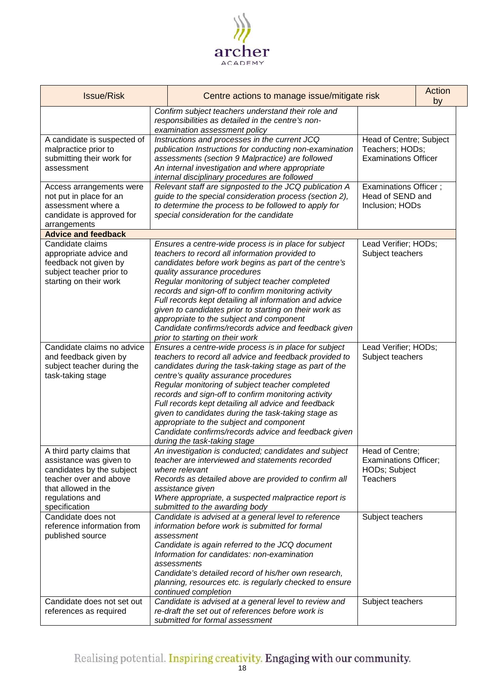

| <b>Issue/Risk</b>                                                                                                                                                      | Centre actions to manage issue/mitigate risk                                                                                                                                                                                                                                                                                                                                                                                                                                                                                                                                   |                                                                                     | Action<br>by |
|------------------------------------------------------------------------------------------------------------------------------------------------------------------------|--------------------------------------------------------------------------------------------------------------------------------------------------------------------------------------------------------------------------------------------------------------------------------------------------------------------------------------------------------------------------------------------------------------------------------------------------------------------------------------------------------------------------------------------------------------------------------|-------------------------------------------------------------------------------------|--------------|
|                                                                                                                                                                        | Confirm subject teachers understand their role and<br>responsibilities as detailed in the centre's non-<br>examination assessment policy                                                                                                                                                                                                                                                                                                                                                                                                                                       |                                                                                     |              |
| A candidate is suspected of<br>malpractice prior to<br>submitting their work for<br>assessment                                                                         | Instructions and processes in the current JCQ<br>publication Instructions for conducting non-examination<br>assessments (section 9 Malpractice) are followed<br>An internal investigation and where appropriate<br>internal disciplinary procedures are followed                                                                                                                                                                                                                                                                                                               | Head of Centre; Subject<br>Teachers; HODs;<br><b>Examinations Officer</b>           |              |
| Access arrangements were<br>not put in place for an<br>assessment where a<br>candidate is approved for<br>arrangements                                                 | Relevant staff are signposted to the JCQ publication A<br>guide to the special consideration process (section 2),<br>to determine the process to be followed to apply for<br>special consideration for the candidate                                                                                                                                                                                                                                                                                                                                                           | Examinations Officer;<br>Head of SEND and<br>Inclusion; HODs                        |              |
| <b>Advice and feedback</b>                                                                                                                                             |                                                                                                                                                                                                                                                                                                                                                                                                                                                                                                                                                                                |                                                                                     |              |
| Candidate claims<br>appropriate advice and<br>feedback not given by<br>subject teacher prior to<br>starting on their work                                              | Ensures a centre-wide process is in place for subject<br>teachers to record all information provided to<br>candidates before work begins as part of the centre's<br>quality assurance procedures<br>Regular monitoring of subject teacher completed<br>records and sign-off to confirm monitoring activity<br>Full records kept detailing all information and advice<br>given to candidates prior to starting on their work as<br>appropriate to the subject and component<br>Candidate confirms/records advice and feedback given<br>prior to starting on their work          | Lead Verifier; HODs;<br>Subject teachers                                            |              |
| Candidate claims no advice<br>and feedback given by<br>subject teacher during the<br>task-taking stage                                                                 | Ensures a centre-wide process is in place for subject<br>teachers to record all advice and feedback provided to<br>candidates during the task-taking stage as part of the<br>centre's quality assurance procedures<br>Regular monitoring of subject teacher completed<br>records and sign-off to confirm monitoring activity<br>Full records kept detailing all advice and feedback<br>given to candidates during the task-taking stage as<br>appropriate to the subject and component<br>Candidate confirms/records advice and feedback given<br>during the task-taking stage | Lead Verifier; HODs;<br>Subject teachers                                            |              |
| A third party claims that<br>assistance was given to<br>candidates by the subject<br>teacher over and above<br>that allowed in the<br>regulations and<br>specification | An investigation is conducted; candidates and subject<br>teacher are interviewed and statements recorded<br>where relevant<br>Records as detailed above are provided to confirm all<br>assistance given<br>Where appropriate, a suspected malpractice report is<br>submitted to the awarding body                                                                                                                                                                                                                                                                              | Head of Centre;<br><b>Examinations Officer;</b><br>HODs; Subject<br><b>Teachers</b> |              |
| Candidate does not<br>reference information from<br>published source                                                                                                   | Candidate is advised at a general level to reference<br>information before work is submitted for formal<br>assessment<br>Candidate is again referred to the JCQ document<br>Information for candidates: non-examination<br>assessments<br>Candidate's detailed record of his/her own research,<br>planning, resources etc. is regularly checked to ensure<br>continued completion                                                                                                                                                                                              | Subject teachers                                                                    |              |
| Candidate does not set out<br>references as required                                                                                                                   | Candidate is advised at a general level to review and<br>re-draft the set out of references before work is<br>submitted for formal assessment                                                                                                                                                                                                                                                                                                                                                                                                                                  | Subject teachers                                                                    |              |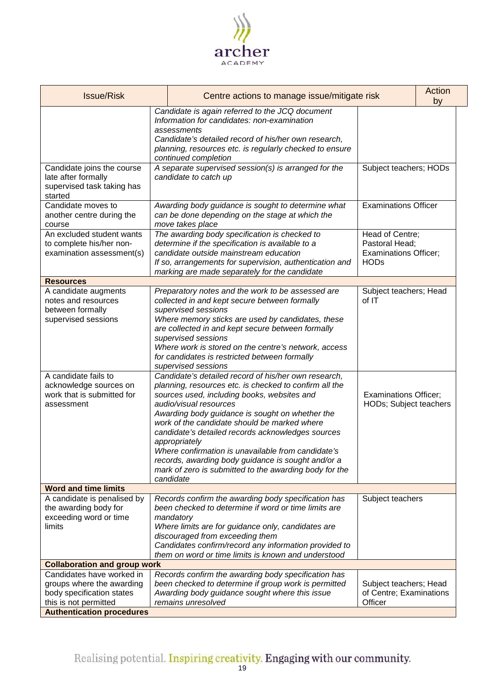

| Candidate is again referred to the JCQ document<br>Information for candidates: non-examination<br>assessments<br>Candidate's detailed record of his/her own research,<br>planning, resources etc. is regularly checked to ensure<br>continued completion<br>A separate supervised session(s) is arranged for the<br>Candidate joins the course                                                                                                                                                                                                                                                                                                    | Subject teachers; HODs                                 |
|---------------------------------------------------------------------------------------------------------------------------------------------------------------------------------------------------------------------------------------------------------------------------------------------------------------------------------------------------------------------------------------------------------------------------------------------------------------------------------------------------------------------------------------------------------------------------------------------------------------------------------------------------|--------------------------------------------------------|
|                                                                                                                                                                                                                                                                                                                                                                                                                                                                                                                                                                                                                                                   |                                                        |
| late after formally<br>candidate to catch up<br>supervised task taking has<br>started                                                                                                                                                                                                                                                                                                                                                                                                                                                                                                                                                             |                                                        |
| Candidate moves to<br>Awarding body guidance is sought to determine what<br>another centre during the<br>can be done depending on the stage at which the<br>move takes place<br>course                                                                                                                                                                                                                                                                                                                                                                                                                                                            | <b>Examinations Officer</b>                            |
| An excluded student wants<br>The awarding body specification is checked to<br>to complete his/her non-<br>determine if the specification is available to a<br>Pastoral Head;<br>candidate outside mainstream education<br>examination assessment(s)<br><b>HODs</b><br>If so, arrangements for supervision, authentication and<br>marking are made separately for the candidate                                                                                                                                                                                                                                                                    | Head of Centre;<br><b>Examinations Officer;</b>        |
| <b>Resources</b>                                                                                                                                                                                                                                                                                                                                                                                                                                                                                                                                                                                                                                  |                                                        |
| A candidate augments<br>Preparatory notes and the work to be assessed are<br>of IT<br>notes and resources<br>collected in and kept secure between formally<br>between formally<br>supervised sessions<br>Where memory sticks are used by candidates, these<br>supervised sessions<br>are collected in and kept secure between formally<br>supervised sessions<br>Where work is stored on the centre's network, access<br>for candidates is restricted between formally<br>supervised sessions                                                                                                                                                     | Subject teachers; Head                                 |
| A candidate fails to<br>Candidate's detailed record of his/her own research,<br>planning, resources etc. is checked to confirm all the<br>acknowledge sources on<br>work that is submitted for<br>sources used, including books, websites and<br>audio/visual resources<br>assessment<br>Awarding body guidance is sought on whether the<br>work of the candidate should be marked where<br>candidate's detailed records acknowledges sources<br>appropriately<br>Where confirmation is unavailable from candidate's<br>records, awarding body guidance is sought and/or a<br>mark of zero is submitted to the awarding body for the<br>candidate | <b>Examinations Officer;</b><br>HODs; Subject teachers |
| <b>Word and time limits</b>                                                                                                                                                                                                                                                                                                                                                                                                                                                                                                                                                                                                                       |                                                        |
| A candidate is penalised by<br>Records confirm the awarding body specification has<br>the awarding body for<br>been checked to determine if word or time limits are<br>exceeding word or time<br>mandatory<br>limits<br>Where limits are for guidance only, candidates are<br>discouraged from exceeding them<br>Candidates confirm/record any information provided to<br>them on word or time limits is known and understood                                                                                                                                                                                                                     | Subject teachers                                       |
| <b>Collaboration and group work</b>                                                                                                                                                                                                                                                                                                                                                                                                                                                                                                                                                                                                               |                                                        |
| Candidates have worked in<br>Records confirm the awarding body specification has<br>groups where the awarding<br>been checked to determine if group work is permitted<br>Awarding body guidance sought where this issue<br>body specification states<br>this is not permitted<br>remains unresolved<br>Officer<br><b>Authentication procedures</b>                                                                                                                                                                                                                                                                                                | Subject teachers; Head<br>of Centre; Examinations      |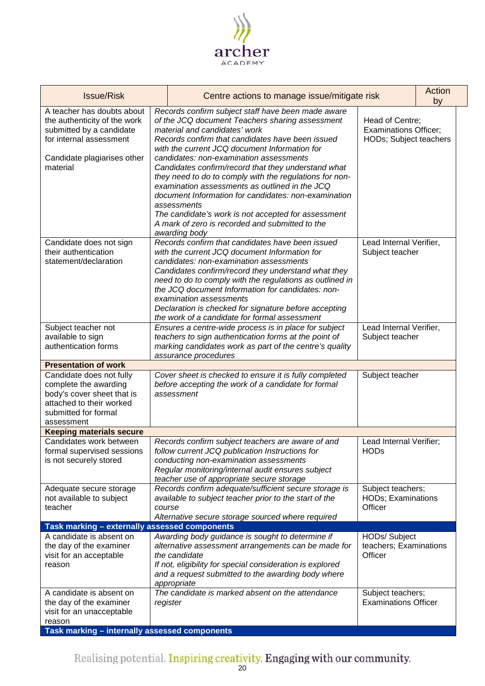

| <b>Issue/Risk</b>                                                                                                                                            |        | Centre actions to manage issue/mitigate risk                                                                                                                                                                                                                                                                                                                                                                                                                                                                                                                                                                                                                 |                                                                           | Action<br>by |
|--------------------------------------------------------------------------------------------------------------------------------------------------------------|--------|--------------------------------------------------------------------------------------------------------------------------------------------------------------------------------------------------------------------------------------------------------------------------------------------------------------------------------------------------------------------------------------------------------------------------------------------------------------------------------------------------------------------------------------------------------------------------------------------------------------------------------------------------------------|---------------------------------------------------------------------------|--------------|
| A teacher has doubts about<br>the authenticity of the work<br>submitted by a candidate<br>for internal assessment<br>Candidate plagiarises other<br>material |        | Records confirm subject staff have been made aware<br>of the JCQ document Teachers sharing assessment<br>material and candidates' work<br>Records confirm that candidates have been issued<br>with the current JCQ document Information for<br>candidates: non-examination assessments<br>Candidates confirm/record that they understand what<br>they need to do to comply with the regulations for non-<br>examination assessments as outlined in the JCQ<br>document Information for candidates: non-examination<br>assessments<br>The candidate's work is not accepted for assessment<br>A mark of zero is recorded and submitted to the<br>awarding body | Head of Centre;<br><b>Examinations Officer;</b><br>HODs; Subject teachers |              |
| Candidate does not sign<br>their authentication<br>statement/declaration                                                                                     |        | Records confirm that candidates have been issued<br>with the current JCQ document Information for<br>candidates: non-examination assessments<br>Candidates confirm/record they understand what they<br>need to do to comply with the regulations as outlined in<br>the JCQ document Information for candidates: non-<br>examination assessments<br>Declaration is checked for signature before accepting<br>the work of a candidate for formal assessment                                                                                                                                                                                                    | Lead Internal Verifier,<br>Subject teacher                                |              |
| Subject teacher not<br>available to sign<br>authentication forms                                                                                             |        | Ensures a centre-wide process is in place for subject<br>teachers to sign authentication forms at the point of<br>marking candidates work as part of the centre's quality<br>assurance procedures                                                                                                                                                                                                                                                                                                                                                                                                                                                            | Lead Internal Verifier,<br>Subject teacher                                |              |
| <b>Presentation of work</b>                                                                                                                                  |        |                                                                                                                                                                                                                                                                                                                                                                                                                                                                                                                                                                                                                                                              |                                                                           |              |
| Candidate does not fully<br>complete the awarding<br>body's cover sheet that is<br>attached to their worked<br>submitted for formal<br>assessment            |        | Cover sheet is checked to ensure it is fully completed<br>before accepting the work of a candidate for formal<br>assessment                                                                                                                                                                                                                                                                                                                                                                                                                                                                                                                                  | Subject teacher                                                           |              |
| <b>Keeping materials secure</b>                                                                                                                              |        |                                                                                                                                                                                                                                                                                                                                                                                                                                                                                                                                                                                                                                                              |                                                                           |              |
| Candidates work between<br>formal supervised sessions<br>is not securely stored                                                                              |        | Records confirm subject teachers are aware of and<br>follow current JCQ publication Instructions for<br>conducting non-examination assessments<br>Regular monitoring/internal audit ensures subject<br>teacher use of appropriate secure storage                                                                                                                                                                                                                                                                                                                                                                                                             | Lead Internal Verifier;<br><b>HODs</b>                                    |              |
| Adequate secure storage<br>not available to subject<br>teacher                                                                                               | course | Records confirm adequate/sufficient secure storage is<br>available to subject teacher prior to the start of the<br>Alternative secure storage sourced where required                                                                                                                                                                                                                                                                                                                                                                                                                                                                                         | Subject teachers;<br><b>HODs; Examinations</b><br>Officer                 |              |
| Task marking - externally assessed components                                                                                                                |        |                                                                                                                                                                                                                                                                                                                                                                                                                                                                                                                                                                                                                                                              |                                                                           |              |
| A candidate is absent on<br>the day of the examiner<br>visit for an acceptable<br>reason                                                                     |        | Awarding body guidance is sought to determine if<br>alternative assessment arrangements can be made for<br>the candidate<br>If not, eligibility for special consideration is explored<br>and a request submitted to the awarding body where<br>appropriate                                                                                                                                                                                                                                                                                                                                                                                                   | HODs/ Subject<br>teachers; Examinations<br>Officer                        |              |
| A candidate is absent on<br>the day of the examiner<br>visit for an unacceptable<br>reason<br>Task marking - internally assessed components                  |        | The candidate is marked absent on the attendance<br>register                                                                                                                                                                                                                                                                                                                                                                                                                                                                                                                                                                                                 | Subject teachers;<br><b>Examinations Officer</b>                          |              |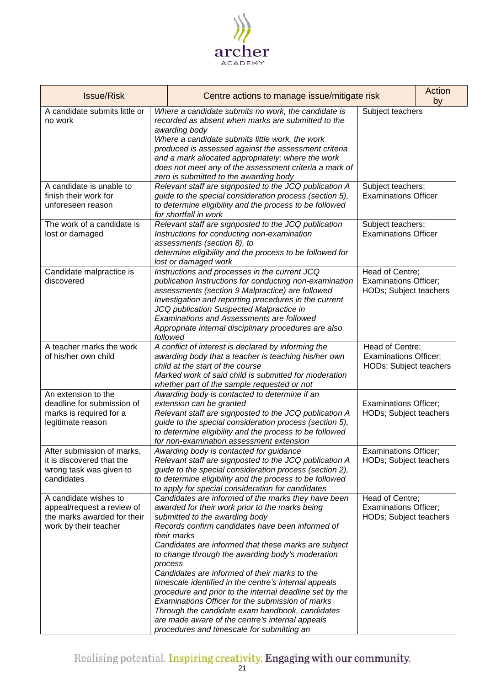

| <b>Issue/Risk</b>                                                                                           | Centre actions to manage issue/mitigate risk |                                                                                                                                                                                                                                                                                                                                                                                                                                                                                                                                                                                                                                                                                                                 | Action<br>by                                                              |  |
|-------------------------------------------------------------------------------------------------------------|----------------------------------------------|-----------------------------------------------------------------------------------------------------------------------------------------------------------------------------------------------------------------------------------------------------------------------------------------------------------------------------------------------------------------------------------------------------------------------------------------------------------------------------------------------------------------------------------------------------------------------------------------------------------------------------------------------------------------------------------------------------------------|---------------------------------------------------------------------------|--|
| A candidate submits little or<br>no work                                                                    |                                              | Where a candidate submits no work, the candidate is<br>recorded as absent when marks are submitted to the<br>awarding body<br>Where a candidate submits little work, the work<br>produced is assessed against the assessment criteria<br>and a mark allocated appropriately; where the work<br>does not meet any of the assessment criteria a mark of<br>zero is submitted to the awarding body                                                                                                                                                                                                                                                                                                                 | Subject teachers                                                          |  |
| A candidate is unable to<br>finish their work for<br>unforeseen reason                                      |                                              | Relevant staff are signposted to the JCQ publication A<br>guide to the special consideration process (section 5),<br>to determine eligibility and the process to be followed<br>for shortfall in work                                                                                                                                                                                                                                                                                                                                                                                                                                                                                                           | Subject teachers;<br><b>Examinations Officer</b>                          |  |
| The work of a candidate is<br>lost or damaged                                                               |                                              | Relevant staff are signposted to the JCQ publication<br>Instructions for conducting non-examination<br>assessments (section 8), to<br>determine eligibility and the process to be followed for<br>lost or damaged work                                                                                                                                                                                                                                                                                                                                                                                                                                                                                          | Subject teachers;<br><b>Examinations Officer</b>                          |  |
| Candidate malpractice is<br>discovered                                                                      |                                              | Instructions and processes in the current JCQ<br>publication Instructions for conducting non-examination<br>assessments (section 9 Malpractice) are followed<br>Investigation and reporting procedures in the current<br>JCQ publication Suspected Malpractice in<br>Examinations and Assessments are followed<br>Appropriate internal disciplinary procedures are also<br>followed                                                                                                                                                                                                                                                                                                                             | Head of Centre;<br><b>Examinations Officer;</b><br>HODs; Subject teachers |  |
| A teacher marks the work<br>of his/her own child                                                            |                                              | A conflict of interest is declared by informing the<br>awarding body that a teacher is teaching his/her own<br>child at the start of the course<br>Marked work of said child is submitted for moderation<br>whether part of the sample requested or not                                                                                                                                                                                                                                                                                                                                                                                                                                                         | Head of Centre;<br><b>Examinations Officer;</b><br>HODs; Subject teachers |  |
| An extension to the<br>deadline for submission of<br>marks is required for a<br>legitimate reason           |                                              | Awarding body is contacted to determine if an<br>extension can be granted<br>Relevant staff are signposted to the JCQ publication A<br>guide to the special consideration process (section 5),<br>to determine eligibility and the process to be followed<br>for non-examination assessment extension                                                                                                                                                                                                                                                                                                                                                                                                           | <b>Examinations Officer;</b><br>HODs; Subject teachers                    |  |
| After submission of marks,<br>it is discovered that the<br>wrong task was given to<br>candidates            |                                              | Awarding body is contacted for guidance<br>Relevant staff are signposted to the JCQ publication A<br>guide to the special consideration process (section 2),<br>to determine eligibility and the process to be followed<br>to apply for special consideration for candidates                                                                                                                                                                                                                                                                                                                                                                                                                                    | <b>Examinations Officer;</b><br>HODs; Subject teachers                    |  |
| A candidate wishes to<br>appeal/request a review of<br>the marks awarded for their<br>work by their teacher |                                              | Candidates are informed of the marks they have been<br>awarded for their work prior to the marks being<br>submitted to the awarding body<br>Records confirm candidates have been informed of<br>their marks<br>Candidates are informed that these marks are subject<br>to change through the awarding body's moderation<br>process<br>Candidates are informed of their marks to the<br>timescale identified in the centre's internal appeals<br>procedure and prior to the internal deadline set by the<br>Examinations Officer for the submission of marks<br>Through the candidate exam handbook, candidates<br>are made aware of the centre's internal appeals<br>procedures and timescale for submitting an | Head of Centre;<br><b>Examinations Officer;</b><br>HODs; Subject teachers |  |